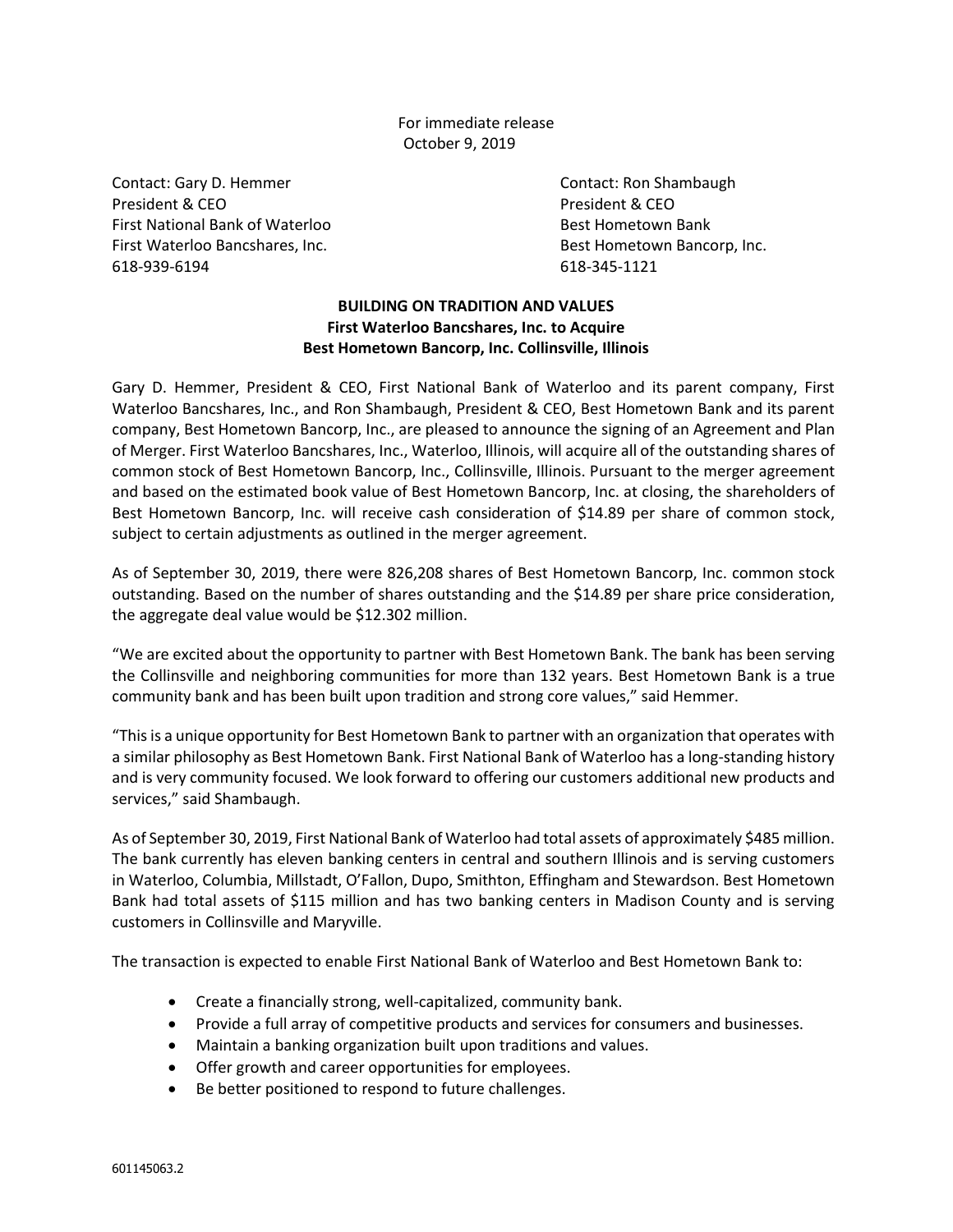For immediate release October 9, 2019

Contact: Gary D. Hemmer Contact: Ron Shambaugh President & CEO **President & CEO** President & CEO First National Bank of Waterloo **Business Controller Sect Hometown Bank** Bank First Waterloo Bancshares, Inc. **Best Hometown Bancorp, Inc.** Best Hometown Bancorp, Inc. 618-939-6194 618-345-1121

## **BUILDING ON TRADITION AND VALUES First Waterloo Bancshares, Inc. to Acquire Best Hometown Bancorp, Inc. Collinsville, Illinois**

Gary D. Hemmer, President & CEO, First National Bank of Waterloo and its parent company, First Waterloo Bancshares, Inc., and Ron Shambaugh, President & CEO, Best Hometown Bank and its parent company, Best Hometown Bancorp, Inc., are pleased to announce the signing of an Agreement and Plan of Merger. First Waterloo Bancshares, Inc., Waterloo, Illinois, will acquire all of the outstanding shares of common stock of Best Hometown Bancorp, Inc., Collinsville, Illinois. Pursuant to the merger agreement and based on the estimated book value of Best Hometown Bancorp, Inc. at closing, the shareholders of Best Hometown Bancorp, Inc. will receive cash consideration of \$14.89 per share of common stock, subject to certain adjustments as outlined in the merger agreement.

As of September 30, 2019, there were 826,208 shares of Best Hometown Bancorp, Inc. common stock outstanding. Based on the number of shares outstanding and the \$14.89 per share price consideration, the aggregate deal value would be \$12.302 million.

"We are excited about the opportunity to partner with Best Hometown Bank. The bank has been serving the Collinsville and neighboring communities for more than 132 years. Best Hometown Bank is a true community bank and has been built upon tradition and strong core values," said Hemmer.

"This is a unique opportunity for Best Hometown Bank to partner with an organization that operates with a similar philosophy as Best Hometown Bank. First National Bank of Waterloo has a long-standing history and is very community focused. We look forward to offering our customers additional new products and services," said Shambaugh.

As of September 30, 2019, First National Bank of Waterloo had total assets of approximately \$485 million. The bank currently has eleven banking centers in central and southern Illinois and is serving customers in Waterloo, Columbia, Millstadt, O'Fallon, Dupo, Smithton, Effingham and Stewardson. Best Hometown Bank had total assets of \$115 million and has two banking centers in Madison County and is serving customers in Collinsville and Maryville.

The transaction is expected to enable First National Bank of Waterloo and Best Hometown Bank to:

- Create a financially strong, well-capitalized, community bank.
- Provide a full array of competitive products and services for consumers and businesses.
- Maintain a banking organization built upon traditions and values.
- Offer growth and career opportunities for employees.
- Be better positioned to respond to future challenges.